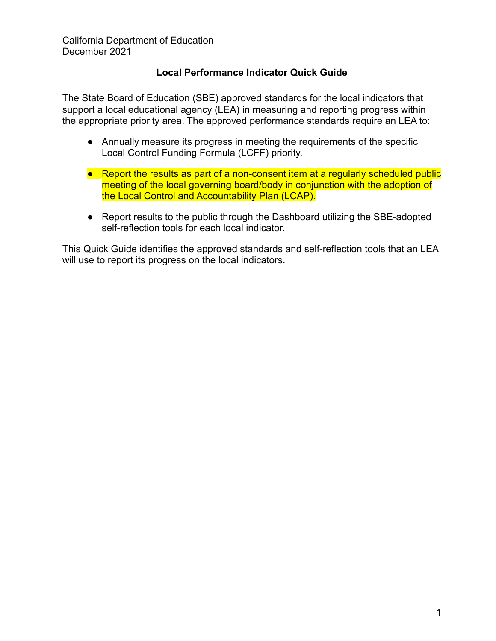California Department of Education December 2021

# **Local Performance Indicator Quick Guide**

The State Board of Education (SBE) approved standards for the local indicators that support a local educational agency (LEA) in measuring and reporting progress within the appropriate priority area. The approved performance standards require an LEA to:

- Annually measure its progress in meeting the requirements of the specific Local Control Funding Formula (LCFF) priority.
- Report the results as part of a non-consent item at a regularly scheduled public meeting of the local governing board/body in conjunction with the adoption of the Local Control and Accountability Plan (LCAP).
- Report results to the public through the Dashboard utilizing the SBE-adopted self-reflection tools for each local indicator.

This Quick Guide identifies the approved standards and self-reflection tools that an LEA will use to report its progress on the local indicators.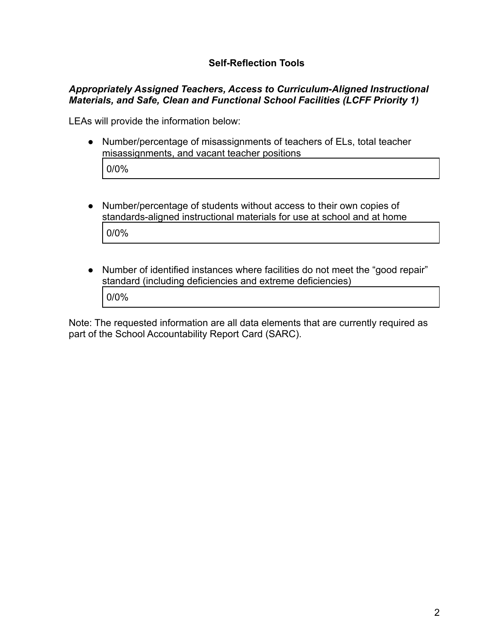# **Self-Reflection Tools**

#### *Appropriately Assigned Teachers, Access to Curriculum-Aligned Instructional Materials, and Safe, Clean and Functional School Facilities (LCFF Priority 1)*

LEAs will provide the information below:

- Number/percentage of misassignments of teachers of ELs, total teacher misassignments, and vacant teacher positions 0/0%
- Number/percentage of students without access to their own copies of standards-aligned instructional materials for use at school and at home 0/0%
- Number of identified instances where facilities do not meet the "good repair" standard (including deficiencies and extreme deficiencies) 0/0%

Note: The requested information are all data elements that are currently required as part of the School Accountability Report Card (SARC).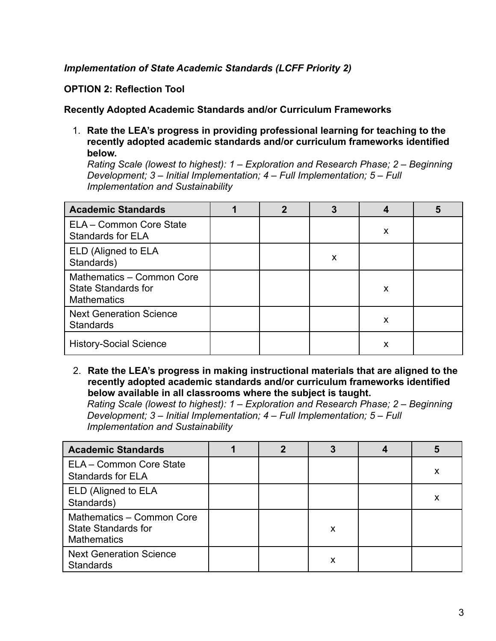# *Implementation of State Academic Standards (LCFF Priority 2)*

**OPTION 2: Reflection Tool**

**Recently Adopted Academic Standards and/or Curriculum Frameworks**

1. **Rate the LEA's progress in providing professional learning for teaching to the recently adopted academic standards and/or curriculum frameworks identified below.**

*Rating Scale (lowest to highest): 1 – Exploration and Research Phase; 2 – Beginning Development; 3 – Initial Implementation; 4 – Full Implementation; 5 – Full Implementation and Sustainability*

| <b>Academic Standards</b>                                                     |  | 3 |   | 5 |
|-------------------------------------------------------------------------------|--|---|---|---|
| ELA - Common Core State<br>Standards for ELA                                  |  |   | X |   |
| ELD (Aligned to ELA<br>Standards)                                             |  | X |   |   |
| Mathematics - Common Core<br><b>State Standards for</b><br><b>Mathematics</b> |  |   | X |   |
| <b>Next Generation Science</b><br><b>Standards</b>                            |  |   | X |   |
| <b>History-Social Science</b>                                                 |  |   | х |   |

2. **Rate the LEA's progress in making instructional materials that are aligned to the recently adopted academic standards and/or curriculum frameworks identified below available in all classrooms where the subject is taught.**

*Rating Scale (lowest to highest): 1 – Exploration and Research Phase; 2 – Beginning Development; 3 – Initial Implementation; 4 – Full Implementation; 5 – Full Implementation and Sustainability*

| <b>Academic Standards</b>                                                     |  |   |   |
|-------------------------------------------------------------------------------|--|---|---|
| ELA - Common Core State<br><b>Standards for ELA</b>                           |  |   | х |
| ELD (Aligned to ELA<br>Standards)                                             |  |   | х |
| Mathematics - Common Core<br><b>State Standards for</b><br><b>Mathematics</b> |  | x |   |
| <b>Next Generation Science</b><br><b>Standards</b>                            |  | х |   |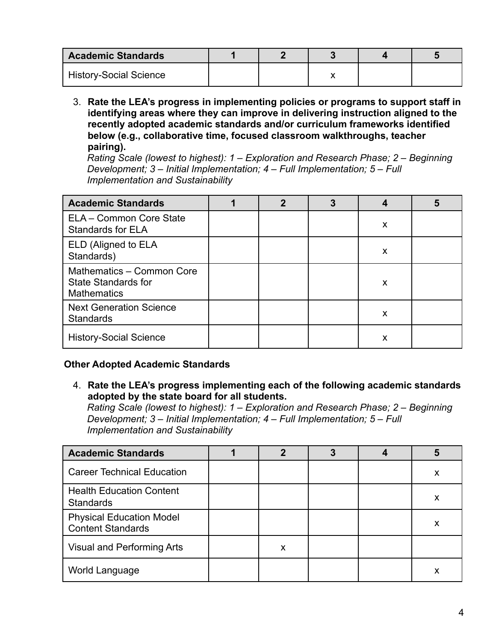| <b>Academic Standards</b>     |  |  |  |
|-------------------------------|--|--|--|
| <b>History-Social Science</b> |  |  |  |

3. **Rate the LEA's progress in implementing policies or programs to support staff in identifying areas where they can improve in delivering instruction aligned to the recently adopted academic standards and/or curriculum frameworks identified below (e.g., collaborative time, focused classroom walkthroughs, teacher pairing).**

*Rating Scale (lowest to highest): 1 – Exploration and Research Phase; 2 – Beginning Development; 3 – Initial Implementation; 4 – Full Implementation; 5 – Full Implementation and Sustainability*

| <b>Academic Standards</b>                                                     | 2 | 3 |   | 5 |
|-------------------------------------------------------------------------------|---|---|---|---|
| ELA - Common Core State<br><b>Standards for ELA</b>                           |   |   | X |   |
| ELD (Aligned to ELA<br>Standards)                                             |   |   | X |   |
| Mathematics - Common Core<br><b>State Standards for</b><br><b>Mathematics</b> |   |   | X |   |
| <b>Next Generation Science</b><br><b>Standards</b>                            |   |   | X |   |
| <b>History-Social Science</b>                                                 |   |   | х |   |

# **Other Adopted Academic Standards**

4. **Rate the LEA's progress implementing each of the following academic standards adopted by the state board for all students.**

*Rating Scale (lowest to highest): 1 – Exploration and Research Phase; 2 – Beginning Development; 3 – Initial Implementation; 4 – Full Implementation; 5 – Full Implementation and Sustainability*

| <b>Academic Standards</b>                                   |   |  |   |
|-------------------------------------------------------------|---|--|---|
| <b>Career Technical Education</b>                           |   |  | x |
| <b>Health Education Content</b><br><b>Standards</b>         |   |  | х |
| <b>Physical Education Model</b><br><b>Content Standards</b> |   |  | Х |
| Visual and Performing Arts                                  | x |  |   |
| World Language                                              |   |  |   |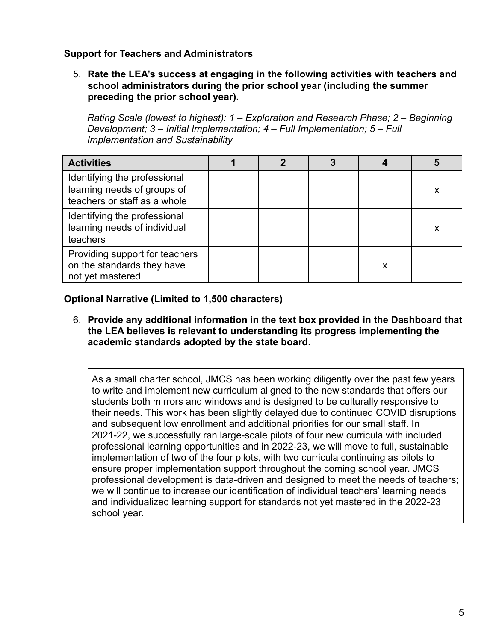# **Support for Teachers and Administrators**

5. **Rate the LEA's success at engaging in the following activities with teachers and school administrators during the prior school year (including the summer preceding the prior school year).**

*Rating Scale (lowest to highest): 1 – Exploration and Research Phase; 2 – Beginning Development; 3 – Initial Implementation; 4 – Full Implementation; 5 – Full Implementation and Sustainability*

| <b>Activities</b>                                                                           |  |   |   |
|---------------------------------------------------------------------------------------------|--|---|---|
| Identifying the professional<br>learning needs of groups of<br>teachers or staff as a whole |  |   | x |
| Identifying the professional<br>learning needs of individual<br>teachers                    |  |   | х |
| Providing support for teachers<br>on the standards they have<br>not yet mastered            |  | Х |   |

**Optional Narrative (Limited to 1,500 characters)**

6. **Provide any additional information in the text box provided in the Dashboard that the LEA believes is relevant to understanding its progress implementing the academic standards adopted by the state board.**

As a small charter school, JMCS has been working diligently over the past few years to write and implement new curriculum aligned to the new standards that offers our students both mirrors and windows and is designed to be culturally responsive to their needs. This work has been slightly delayed due to continued COVID disruptions and subsequent low enrollment and additional priorities for our small staff. In 2021-22, we successfully ran large-scale pilots of four new curricula with included professional learning opportunities and in 2022-23, we will move to full, sustainable implementation of two of the four pilots, with two curricula continuing as pilots to ensure proper implementation support throughout the coming school year. JMCS professional development is data-driven and designed to meet the needs of teachers; we will continue to increase our identification of individual teachers' learning needs and individualized learning support for standards not yet mastered in the 2022-23 school year.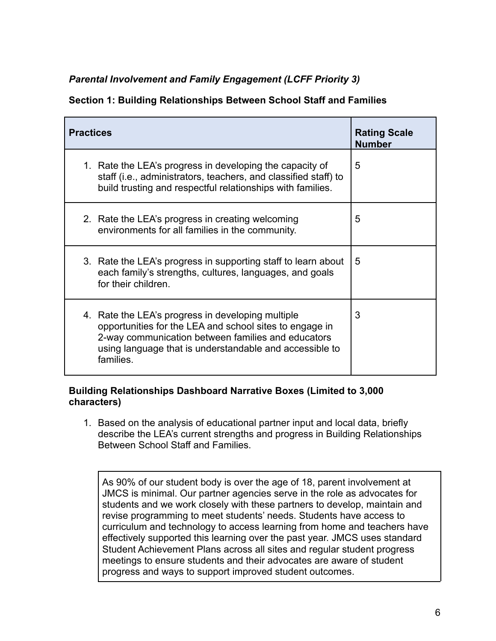# *Parental Involvement and Family Engagement (LCFF Priority 3)*

# **Section 1: Building Relationships Between School Staff and Families**

| <b>Practices</b>                                                                                                                                                                                                                           | <b>Rating Scale</b><br><b>Number</b> |
|--------------------------------------------------------------------------------------------------------------------------------------------------------------------------------------------------------------------------------------------|--------------------------------------|
| 1. Rate the LEA's progress in developing the capacity of<br>staff (i.e., administrators, teachers, and classified staff) to<br>build trusting and respectful relationships with families.                                                  | 5                                    |
| 2. Rate the LEA's progress in creating welcoming<br>environments for all families in the community.                                                                                                                                        | 5                                    |
| 3. Rate the LEA's progress in supporting staff to learn about<br>each family's strengths, cultures, languages, and goals<br>for their children.                                                                                            | 5                                    |
| 4. Rate the LEA's progress in developing multiple<br>opportunities for the LEA and school sites to engage in<br>2-way communication between families and educators<br>using language that is understandable and accessible to<br>families. | 3                                    |

#### **Building Relationships Dashboard Narrative Boxes (Limited to 3,000 characters)**

1. Based on the analysis of educational partner input and local data, briefly describe the LEA's current strengths and progress in Building Relationships Between School Staff and Families.

As 90% of our student body is over the age of 18, parent involvement at JMCS is minimal. Our partner agencies serve in the role as advocates for students and we work closely with these partners to develop, maintain and revise programming to meet students' needs. Students have access to curriculum and technology to access learning from home and teachers have effectively supported this learning over the past year. JMCS uses standard Student Achievement Plans across all sites and regular student progress meetings to ensure students and their advocates are aware of student progress and ways to support improved student outcomes.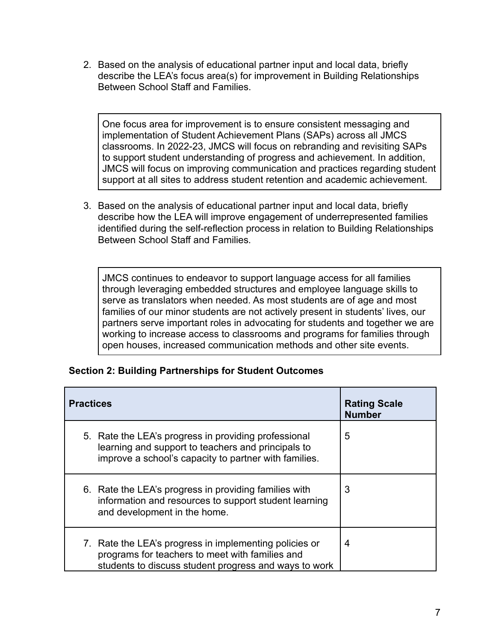2. Based on the analysis of educational partner input and local data, briefly describe the LEA's focus area(s) for improvement in Building Relationships Between School Staff and Families.

One focus area for improvement is to ensure consistent messaging and implementation of Student Achievement Plans (SAPs) across all JMCS classrooms. In 2022-23, JMCS will focus on rebranding and revisiting SAPs to support student understanding of progress and achievement. In addition, JMCS will focus on improving communication and practices regarding student support at all sites to address student retention and academic achievement.

3. Based on the analysis of educational partner input and local data, briefly describe how the LEA will improve engagement of underrepresented families identified during the self-reflection process in relation to Building Relationships Between School Staff and Families.

JMCS continues to endeavor to support language access for all families through leveraging embedded structures and employee language skills to serve as translators when needed. As most students are of age and most families of our minor students are not actively present in students' lives, our partners serve important roles in advocating for students and together we are working to increase access to classrooms and programs for families through open houses, increased communication methods and other site events.

| <b>Practices</b>                                                                                                                                                    | <b>Rating Scale</b><br><b>Number</b> |
|---------------------------------------------------------------------------------------------------------------------------------------------------------------------|--------------------------------------|
| 5. Rate the LEA's progress in providing professional<br>learning and support to teachers and principals to<br>improve a school's capacity to partner with families. | 5                                    |
| 6. Rate the LEA's progress in providing families with<br>information and resources to support student learning<br>and development in the home.                      | 3                                    |
| 7. Rate the LEA's progress in implementing policies or<br>programs for teachers to meet with families and<br>students to discuss student progress and ways to work  | 4                                    |

#### **Section 2: Building Partnerships for Student Outcomes**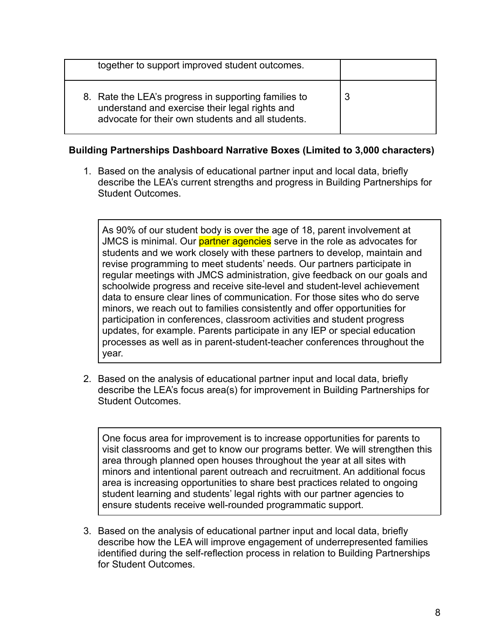| together to support improved student outcomes.                                                                                                              |   |
|-------------------------------------------------------------------------------------------------------------------------------------------------------------|---|
| 8. Rate the LEA's progress in supporting families to<br>understand and exercise their legal rights and<br>advocate for their own students and all students. | J |

# **Building Partnerships Dashboard Narrative Boxes (Limited to 3,000 characters)**

1. Based on the analysis of educational partner input and local data, briefly describe the LEA's current strengths and progress in Building Partnerships for Student Outcomes.

As 90% of our student body is over the age of 18, parent involvement at JMCS is minimal. Our **partner agencies** serve in the role as advocates for students and we work closely with these partners to develop, maintain and revise programming to meet students' needs. Our partners participate in regular meetings with JMCS administration, give feedback on our goals and schoolwide progress and receive site-level and student-level achievement data to ensure clear lines of communication. For those sites who do serve minors, we reach out to families consistently and offer opportunities for participation in conferences, classroom activities and student progress updates, for example. Parents participate in any IEP or special education processes as well as in parent-student-teacher conferences throughout the year.

2. Based on the analysis of educational partner input and local data, briefly describe the LEA's focus area(s) for improvement in Building Partnerships for Student Outcomes.

One focus area for improvement is to increase opportunities for parents to visit classrooms and get to know our programs better. We will strengthen this area through planned open houses throughout the year at all sites with minors and intentional parent outreach and recruitment. An additional focus area is increasing opportunities to share best practices related to ongoing student learning and students' legal rights with our partner agencies to ensure students receive well-rounded programmatic support.

3. Based on the analysis of educational partner input and local data, briefly describe how the LEA will improve engagement of underrepresented families identified during the self-reflection process in relation to Building Partnerships for Student Outcomes.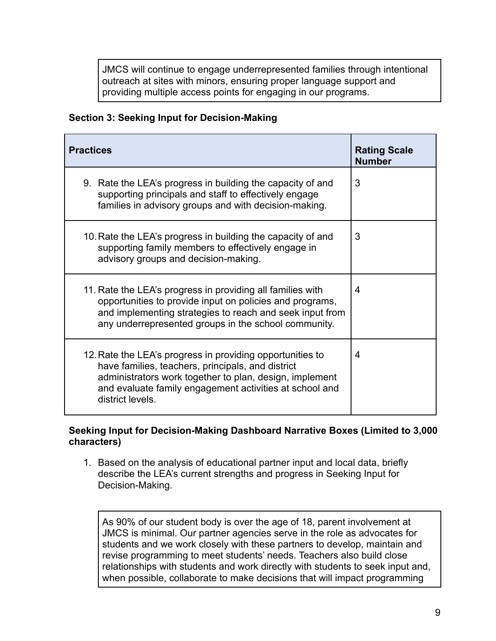JMCS will continue to engage underrepresented families through intentional outreach at sites with minors, ensuring proper language support and providing multiple access points for engaging in our programs.

# **Section 3: Seeking Input for Decision-Making**

| <b>Practices</b>                                                                                                                                                                                                                                         | <b>Rating Scale</b><br><b>Number</b> |
|----------------------------------------------------------------------------------------------------------------------------------------------------------------------------------------------------------------------------------------------------------|--------------------------------------|
| 9. Rate the LEA's progress in building the capacity of and<br>supporting principals and staff to effectively engage<br>families in advisory groups and with decision-making.                                                                             | 3                                    |
| 10. Rate the LEA's progress in building the capacity of and<br>supporting family members to effectively engage in<br>advisory groups and decision-making.                                                                                                | 3                                    |
| 11. Rate the LEA's progress in providing all families with<br>opportunities to provide input on policies and programs,<br>and implementing strategies to reach and seek input from<br>any underrepresented groups in the school community.               | 4                                    |
| 12. Rate the LEA's progress in providing opportunities to<br>have families, teachers, principals, and district<br>administrators work together to plan, design, implement<br>and evaluate family engagement activities at school and<br>district levels. | 4                                    |

# **Seeking Input for Decision-Making Dashboard Narrative Boxes (Limited to 3,000 characters)**

1. Based on the analysis of educational partner input and local data, briefly describe the LEA's current strengths and progress in Seeking Input for Decision-Making.

As 90% of our student body is over the age of 18, parent involvement at JMCS is minimal. Our partner agencies serve in the role as advocates for students and we work closely with these partners to develop, maintain and revise programming to meet students' needs. Teachers also build close relationships with students and work directly with students to seek input and, when possible, collaborate to make decisions that will impact programming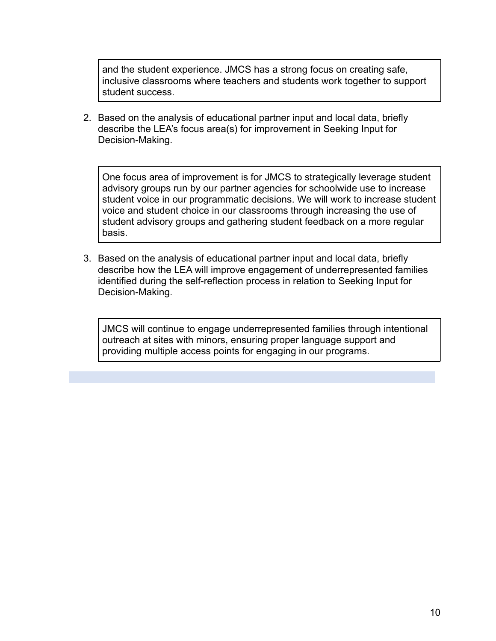and the student experience. JMCS has a strong focus on creating safe, inclusive classrooms where teachers and students work together to support student success.

2. Based on the analysis of educational partner input and local data, briefly describe the LEA's focus area(s) for improvement in Seeking Input for Decision-Making.

One focus area of improvement is for JMCS to strategically leverage student advisory groups run by our partner agencies for schoolwide use to increase student voice in our programmatic decisions. We will work to increase student voice and student choice in our classrooms through increasing the use of student advisory groups and gathering student feedback on a more regular basis.

3. Based on the analysis of educational partner input and local data, briefly describe how the LEA will improve engagement of underrepresented families identified during the self-reflection process in relation to Seeking Input for Decision-Making.

JMCS will continue to engage underrepresented families through intentional outreach at sites with minors, ensuring proper language support and providing multiple access points for engaging in our programs.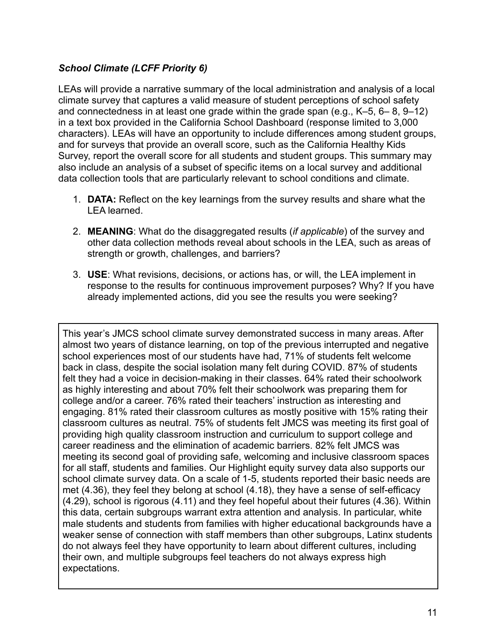# *School Climate (LCFF Priority 6)*

LEAs will provide a narrative summary of the local administration and analysis of a local climate survey that captures a valid measure of student perceptions of school safety and connectedness in at least one grade within the grade span (e.g., K–5, 6– 8, 9–12) in a text box provided in the California School Dashboard (response limited to 3,000 characters). LEAs will have an opportunity to include differences among student groups, and for surveys that provide an overall score, such as the California Healthy Kids Survey, report the overall score for all students and student groups. This summary may also include an analysis of a subset of specific items on a local survey and additional data collection tools that are particularly relevant to school conditions and climate.

- 1. **DATA:** Reflect on the key learnings from the survey results and share what the LEA learned.
- 2. **MEANING**: What do the disaggregated results (*if applicable*) of the survey and other data collection methods reveal about schools in the LEA, such as areas of strength or growth, challenges, and barriers?
- 3. **USE**: What revisions, decisions, or actions has, or will, the LEA implement in response to the results for continuous improvement purposes? Why? If you have already implemented actions, did you see the results you were seeking?

This year's JMCS school climate survey demonstrated success in many areas. After almost two years of distance learning, on top of the previous interrupted and negative school experiences most of our students have had, 71% of students felt welcome back in class, despite the social isolation many felt during COVID. 87% of students felt they had a voice in decision-making in their classes. 64% rated their schoolwork as highly interesting and about 70% felt their schoolwork was preparing them for college and/or a career. 76% rated their teachers' instruction as interesting and engaging. 81% rated their classroom cultures as mostly positive with 15% rating their classroom cultures as neutral. 75% of students felt JMCS was meeting its first goal of providing high quality classroom instruction and curriculum to support college and career readiness and the elimination of academic barriers. 82% felt JMCS was meeting its second goal of providing safe, welcoming and inclusive classroom spaces for all staff, students and families. Our Highlight equity survey data also supports our school climate survey data. On a scale of 1-5, students reported their basic needs are met (4.36), they feel they belong at school (4.18), they have a sense of self-efficacy (4.29), school is rigorous (4.11) and they feel hopeful about their futures (4.36). Within this data, certain subgroups warrant extra attention and analysis. In particular, white male students and students from families with higher educational backgrounds have a weaker sense of connection with staff members than other subgroups, Latinx students do not always feel they have opportunity to learn about different cultures, including their own, and multiple subgroups feel teachers do not always express high expectations.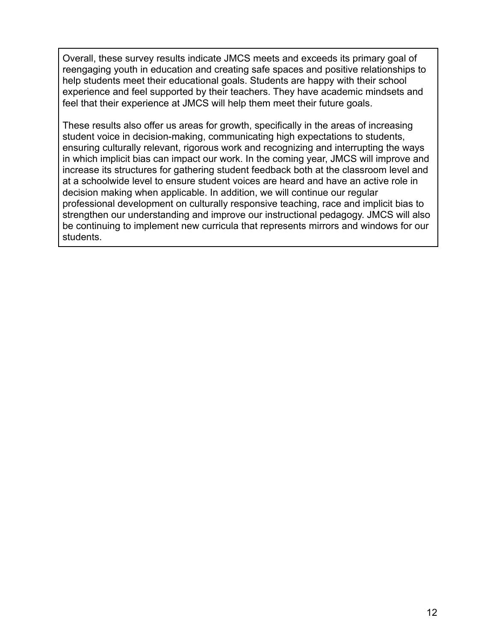Overall, these survey results indicate JMCS meets and exceeds its primary goal of reengaging youth in education and creating safe spaces and positive relationships to help students meet their educational goals. Students are happy with their school experience and feel supported by their teachers. They have academic mindsets and feel that their experience at JMCS will help them meet their future goals.

These results also offer us areas for growth, specifically in the areas of increasing student voice in decision-making, communicating high expectations to students, ensuring culturally relevant, rigorous work and recognizing and interrupting the ways in which implicit bias can impact our work. In the coming year, JMCS will improve and increase its structures for gathering student feedback both at the classroom level and at a schoolwide level to ensure student voices are heard and have an active role in decision making when applicable. In addition, we will continue our regular professional development on culturally responsive teaching, race and implicit bias to strengthen our understanding and improve our instructional pedagogy. JMCS will also be continuing to implement new curricula that represents mirrors and windows for our students.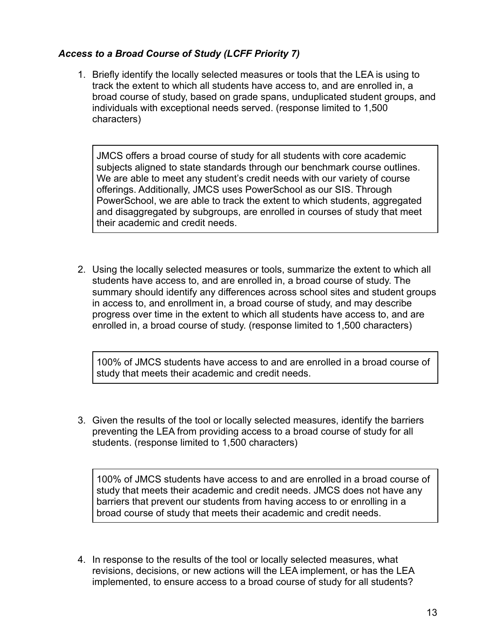# *Access to a Broad Course of Study (LCFF Priority 7)*

1. Briefly identify the locally selected measures or tools that the LEA is using to track the extent to which all students have access to, and are enrolled in, a broad course of study, based on grade spans, unduplicated student groups, and individuals with exceptional needs served. (response limited to 1,500 characters)

JMCS offers a broad course of study for all students with core academic subjects aligned to state standards through our benchmark course outlines. We are able to meet any student's credit needs with our variety of course offerings. Additionally, JMCS uses PowerSchool as our SIS. Through PowerSchool, we are able to track the extent to which students, aggregated and disaggregated by subgroups, are enrolled in courses of study that meet their academic and credit needs.

2. Using the locally selected measures or tools, summarize the extent to which all students have access to, and are enrolled in, a broad course of study. The summary should identify any differences across school sites and student groups in access to, and enrollment in, a broad course of study, and may describe progress over time in the extent to which all students have access to, and are enrolled in, a broad course of study. (response limited to 1,500 characters)

100% of JMCS students have access to and are enrolled in a broad course of study that meets their academic and credit needs.

3. Given the results of the tool or locally selected measures, identify the barriers preventing the LEA from providing access to a broad course of study for all students. (response limited to 1,500 characters)

100% of JMCS students have access to and are enrolled in a broad course of study that meets their academic and credit needs. JMCS does not have any barriers that prevent our students from having access to or enrolling in a broad course of study that meets their academic and credit needs.

4. In response to the results of the tool or locally selected measures, what revisions, decisions, or new actions will the LEA implement, or has the LEA implemented, to ensure access to a broad course of study for all students?